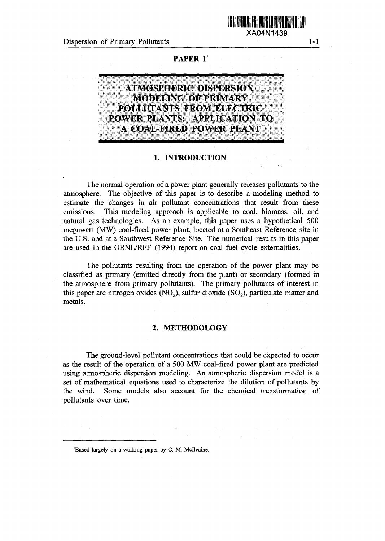Dispersion of Primary Pollutants 1-1

XA04N1439

**PAPER '**



### 1. **INTRODUCTION**

The normal operation of a power plant generally releases pollutants to the atmosphere. The objective of this paper is to describe a modeling method to estimate the changes in air pollutant concentrations that result from these emissions. This modeling approach is applicable to coal, biomass, oil, and natural gas technologies. As an example, this paper uses a hypothetical 500 megawatt (MW) coal-fired power plant, located at a Southeast Reference site in the U.S. and at a Southwest Reference Site. The numerical results in this paper are used in the ORNL/RFF (1994) report on coal fuel cycle externalities.

The pollutants resulting from the operation of the power plant may be classified as primary (emitted directly from the plant) or secondary (formed in the atmosphere from primary pollutants). The primary pollutants of interest in this paper are nitrogen oxides  $(NO_x)$ , sulfur dioxide  $(SO_2)$ , particulate matter and metals.

# **2. METHODOLOGY**

The ground-level pollutant concentrations that could be expected to occur as the result of the operation of a 500 MW coal-fired power plant are predicted using atmospheric dispersion modeling. An atmospheric dispersion model is a set of mathematical equations used to characterize the dilution of pollutants by the wind. Some models also account for the chemical transformation of pollutants over time.

'Based largely on a working **paper** by C. M. McIlvaine.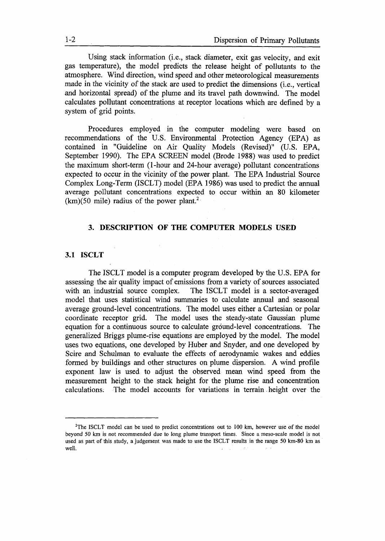Using stack information (i.e., stack diameter, exit gas velocity, and exit gas temperature), the model predicts the release height of pollutants to the atmosphere. Wind direction, wind speed and other meteorological measurements made in the vicinity of the stack are used to predict the dimensions (i.e., vertical and horizontal spread) of the plume and its travel path downwind. The model calculates pollutant concentrations at receptor locations which are defined by a system of grid points.

Procedures employed in the computer modeling were based on recommendations of the U.S. Environmental Protection Agency (EPA) as contained in "Guideline on Air Quality Models (Revised)" (U.S. EPA, September 1990). The EPA SCREEN model (Brode 1988) was used to predict the maximum short-term (1-hour and 24-hour average) pollutant concentrations expected to occur in the vicinity of the power plant. The EPA Industrial Source Complex Long-Term (ISCLT) model (EPA 1986) was used to predict the annual average pollutant concentrations expected to occur within an 80 kilometer  $(km)(50 \text{ mile})$  radius of the power plant.<sup>2</sup>

# **3. DESCRIPTION OF THE COMPUTER MODELS USED**

# **3.1 ISCLT**

The ISCLT model is a computer program developed by the U.S. EPA for assessing the air quality impact of emissions from a variety of sources associated with an industrial source complex. The ISCLT model is a sector-averaged model that uses statistical wind summaries to calculate annual and seasonal average ground-level concentrations. The model uses either a Cartesian or polar coordinate receptor grid. The model uses the steady-state Gaussian plume equation for a continuous source to calculate ground-level concentrations. The generalized Briggs plume-rise equations are employed by the model. The model uses two equations, one developed by Huber and Snyder, and one developed by Scire and Schulman to evaluate the effects of aerodynamic wakes and eddies formed by buildings and other structures on plume dispersion. A wind profile exponent law is used to adjust the observed mean wind speed from the measurement height to the stack height for the plume rise and concentration calculations. The model accounts for variations in terrain height over the

<sup>&#</sup>x27;The ISCLT model can be used to predict concentrations out to 100 km, however *use of* the model beyond 50 km is not recommended due to long plume transport times. Since a meso-scale model is not used as part of this study, a judgement was made to use the ISCLT results in the range **50** km-80 km as well. $\sim 10^{-1}$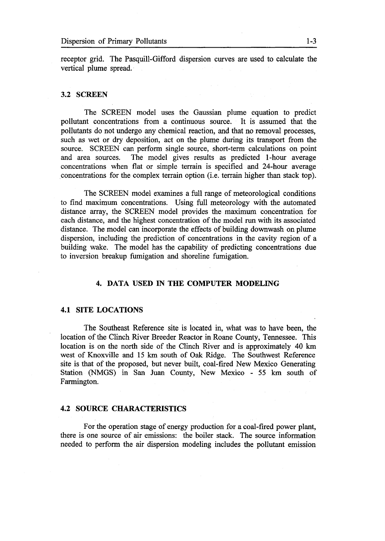receptor grid. The Pasquill-Gifford dispersion curves are used to calculate the vertical plume spread.

#### **3.2 SCREEN**

The SCREEN model uses the Gaussian plume equation to predict pollutant concentrations from a continuous source. It is assumed that the pollutants do not undergo any chemical reaction, and that no removal processes, such as wet or dry deposition, act on the plume during its transport from the source. SCREEN can perform single source, short-term calculations on point and area sources. The model gives results as predicted 1-hour average concentrations when flat or simple terrain is specified and 24-hour average .concentrations for the complex terrain option (i.e. terrain higher than stack top).

The SCREEN model examines a full range of meteorological conditions to find maximum concentrations. Using full meteorology with the automated distance array, the SCREEN model provides the maximum concentration for each distance, and the highest concentration of the model run with its associated distance. The model can incorporate the effects of building downwash on plume dispersion, including the prediction of concentrations in the cavity region of a building wake. The model has the capability of predicting concentrations due to inversion breakup fumigation and shoreline fumigation.

### **4. DATA USED IN THE COMPUTER MODELING**

#### **4.1 SITE LOCATIONS**

The Southeast Reference site is located in, what was to have been, the location of the Clinch River Breeder Reactor in Roane County, Tennessee. This location is on the north side of the Clinch River and is approximately 40 km west of Knoxville and 15 km south of Oak Ridge. The Southwest Reference site is that of the proposed, but never built, coal-fired New Mexico Generating Station (NMGS) in San Juan County, New Mexico - 55 km south of Farmington.

#### **4.2 SOURCE CHARACTERISTICS**

For the operation stage of energy production for a **coal-fired** power plant, there is one source of air emissions: the boiler stack. The source information needed to perform the air dispersion modeling includes the pollutant emission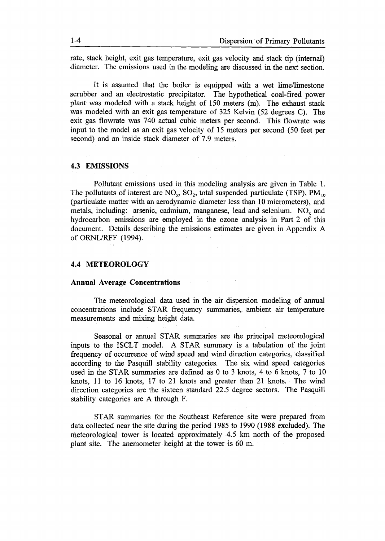rate, stack height, exit gas temperature, exit gas velocity and stack tip (internal) diameter. The emissions used in the modeling are discussed in the next section.

It is assumed that the boiler is equipped with a wet lime/limestone scrubber and an electrostatic precipitator. The hypothetical coal-fired power plant was modeled with a stack height of 150 meters (m). The exhaust stack was modeled with an exit gas temperature of 325 Kelvin (52 degrees C). The exit gas flowrate was 740 actual cubic meters per second. This flowrate was input to the model as an exit gas velocity of 15 meters per second (50 feet per second) and an inside stack diameter of 7.9 meters.

### **4.3** EMISSIONS

Pollutant emissions used in this modeling analysis are given in Table 1. The pollutants of interest are  $NO<sub>x</sub>$ ,  $SO<sub>2</sub>$ , total suspended particulate (TSP),  $PM<sub>10</sub>$ (particulate matter with an aerodynamic diameter less than 10 micrometers), and metals, including: arsenic, cadmium, manganese, lead and selenium. NO, and hydrocarbon emissions are employed in the ozone analysis in Part 2 of this document. Details describing the emissions estimates are given in Appendix A of ORNL/RFF (1994).

# **4.4** METEOROLOGY

### **Annual Average Concentrations**

The meteorological data used in the air dispersion modeling of annual concentrations include STAR frequency summaries, ambient air temperature measurements and mixing height data.

 $\Delta_{\rm{max}}$  and  $\Delta_{\rm{max}}$  are  $\Delta_{\rm{max}}$  . The  $\Delta_{\rm{max}}$ 

Seasonal or annual STAR summaries are the principal meteorological inputs to the ISCLT model. A STAR summary is a tabulation of the joint frequency of occurrence of wind speed and wind direction categories, classified according to the Pasquill stability categories. The six wind speed categories used in the STAR summaries are defined as  $0$  to 3 knots, 4 to 6 knots, 7 to 10 knots, II to 16 knots, 17 to 21 knots and greater than 21 knots. The wind direction categories are the sixteen standard 22.5 degree sectors. The Pasquill stability categories are A through F.

STAR summaries for the Southeast Reference site were prepared from data collected near the site during the period 1985 to 1990 (1988 excluded). The meteorological tower is located approximately 45 km north of the proposed plant site. The anemometer height at the tower is 60 m.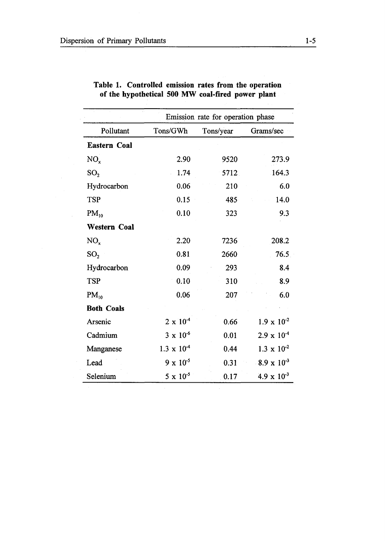$\sim$   $\epsilon$ 

 $\mathcal{A}^{\mathcal{A}}$ 

|                     |                      | Emission rate for operation phase |                      |
|---------------------|----------------------|-----------------------------------|----------------------|
| Pollutant           | Tons/GWh             | Tons/year                         | Grams/sec            |
| <b>Eastern Coal</b> |                      |                                   |                      |
| NO <sub>x</sub>     | 2.90                 | 9520                              | 273.9                |
| SO <sub>2</sub>     | 1.74                 | 5712                              | 164.3                |
| Hydrocarbon         | 0.06                 | 210                               | 6.0                  |
| <b>TSP</b>          | 0.15                 | 485                               | 14.0                 |
| $PM_{10}$           | 0.10                 | 323                               | 9.3                  |
| <b>Western Coal</b> |                      |                                   |                      |
| $NO_{x}$            | 2.20                 | 7236                              | 208.2                |
| SO <sub>2</sub>     | 0.81                 | 2660                              | 76.5                 |
| Hydrocarbon         | 0.09                 | 293                               | 8.4                  |
| <b>TSP</b>          | 0.10                 | 310                               | 8.9                  |
| $PM_{10}$           | 0.06                 | 207                               | 6.0                  |
| <b>Both Coals</b>   |                      |                                   |                      |
| Arsenic             | $2 \times 10^{-4}$   | 0.66                              | $1.9 \times 10^{-2}$ |
| Cadmium             | $3 \times 10^{-6}$   | 0.01                              | $2.9 \times 10^{-4}$ |
| Manganese           | $1.3 \times 10^{-4}$ | 0.44                              | $1.3 \times 10^{-2}$ |
| Lead                | $9 \times 10^{-5}$   | 0.31                              | $8.9 \times 10^{-3}$ |
| Selenium            | $5 \times 10^{-5}$   | 0.17                              | $4.9 \times 10^{-3}$ |

| Table 1. Controlled emission rates from the operation |  |  |  |
|-------------------------------------------------------|--|--|--|
| of the hypothetical 500 MW coal-fired power plant     |  |  |  |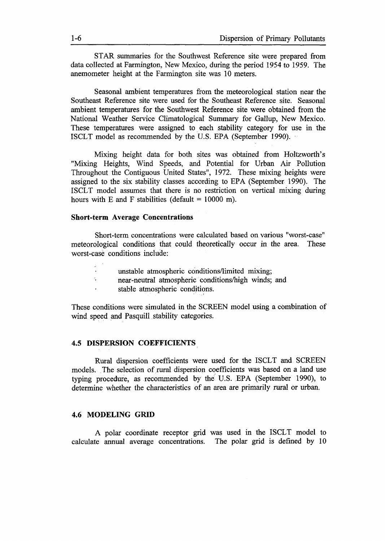STAR summaries for the Southwest Reference site were prepared from data collected at Farmington, New Mexico, during the period 1954 to 1959. The anemometer height at the Farmington site was 10 meters.

Seasonal ambient temperatures from the meteorological station near the Southeast Reference site were used for the Southeast Reference site. Seasonal ambient temperatures for the Southwest Reference site were obtained from the National Weather Service Climatological Summary for Gallup, New Mexico. These temperatures were assigned to each tability category for use in the ISCLT model as recommended by the U.S. EPA (September 1990).

Mixing height data for both sites was obtained from Holtzworth's "Mixing Heights, Wind Speeds, and Potential for Urban Air Pollution Throughout the Contiguous United States", 1972. These mixing heights were assigned to the six stability classes according to EPA (September 1990). The ISCLT model assumes that there is no restriction on vertical mixing during hours with E and F stabilities (default =  $10000$  m).

# **Short-term Average Concentrations**

Short-term concentrations were calculated based on various "worst-case" meteorological conditions that could theoretically occur in the area. These worst-case conditions include:

- unstable atmospheric conditions/limited mixing;
- $\mathbf{L}$ near-neutral atmospheric conditions/high winds; and
- stable atmospheric conditions.

These conditions were simulated in the SCREEN model using a combination of wind speed and Pasquill stability categories.

#### **4.5 DISPERSION COEFFICIENTS**

Rural dispersion coefficients were used for the ISCLT and SCREEN models. The selection of rural dispersion coefficients was based on a land use typing procedure, as recommended by the U.S. EPA (September 1990), to determine whether the characteristics of an area are primarily rural or urban.

# **4.6 MODELING GRID**

A polar coordinate receptor grid was used in the ISCLT model to calculate annual average concentrations. The polar grid is defined by 10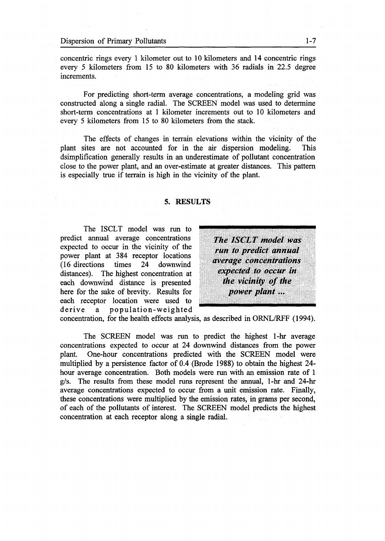concentric rings every 1 kilometer out to 10 kilometers and 14 concentric rings every 5 kilometers from 15 to 80 kilometers with 36 radials in 22.5 degree increments.

For predicting short-term average concentrations, a modeling grid was constructed along a single radial. The SCREEN model was used to determine short-term concentrations at I kilometer increments out to 10 kilometers and every 5 kilometers from 15 to 80 kilometers from the stack.

The effects of changes in terrain elevations within the vicinity of the plant sites are not accounted for in the air dispersion modeling. This dsimplification generally results in an underestimate of pollutant concentration close to the power plant, and an over-estimate at greater distances. This pattern is especially true if terrain is high in the vicinity of the plant.

#### **5. RESULTS**

The ISCLT model was run to<br>predict annual average concentrations **The ISCLT model was** expected to occur in the vicinity of the predict annual average concentrations<br>expected to occur in the vicinity of the<br>power plant at 384 receptor locations<br>(16 directions times 24 downwind<br>distances). The highest concentration at<br>each downwind distance is prese each downwind distance is presented the vicinity of the here for the sake of brevity. Results for power plant ...<br>each receptor location were used to derive a population-weighted

concentration, for the health effects analysis, as described in ORNL/RFF (1994).

The SCREEN model was run to predict the highest I-hr average concentrations expected to occur at 24 downwind distances from the power plant. One-hour concentrations predicted with the SCREEN model were multiplied by a persistence factor of 04 (Brode 1988) to obtain the highest 24 hour average concentration. Both models were run with an emission rate of 1 g/s. The results from these model runs represent the annual, I-hr and 24-hr average concentrations expected to occur from a unit emission rate. Finally, these concentrations were multiplied by the emission rates, in grams per second, of each of the pollutants of interest. The SCREEN model predicts the highest concentration at each receptor along a single radial.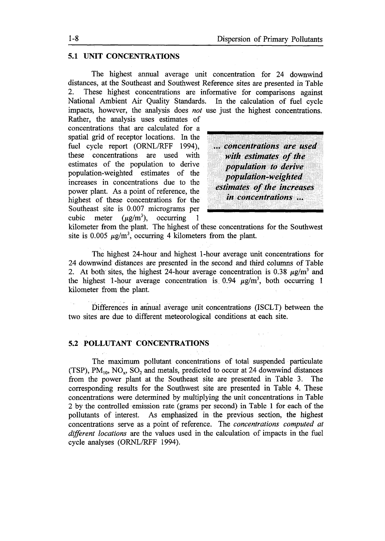# **5.1 UNIT CONCENTRATIONS**

The highest annual average unit concentration for 24 downwind distances, at the Southeast and Southwest Reference sites are presented in Table 2. These highest concentrations are informative for comparisons against National Ambient Air Quality Standards. In the calculation of fuel cycle impacts, however, the analysis does *not* use just the highest concentrations.

Rather, the analysis uses estimates of concentrations that are calculated for a<br>spatial grid of receptor locations. In the<br>fuel cycle report (ORNL/RFF 1994), ... concentrations are used<br>these concentrations are used with with estimates of the<br>estimates of the p these concentrations are used with **with estimates of the**<br>estimates of the population to derive<br>population **to derive**<br>population **to derive**<br>increases in concentrations due to the *estimates of the increases*<br>power plant power plant. As a point of reference, the *estimates of the increases* highest of these concentrations for the *in concentrations* ...<br>Southeast site is 0.007 micrograms per cubic meter  $(\mu\varrho/m^3)$ , occurring 1

... .. .

kilometer from the plant. The highest of these concentrations for the Southwest site is  $0.005 \mu g/m^3$ , occurring 4 kilometers from the plant.

The highest 24-hour and highest 1-hour average unit concentrations for 24 downwind distances are presented in the second and third columns of Table 2. At both sites, the highest 24-hour average concentration is 0.38  $\mu$ g/m<sup>3</sup> and the highest 1-hour average concentration is 0.94  $\mu$ g/m<sup>3</sup>, both occurring 1 kilometer from the plant.

Differences in annual average unit concentrations (ISCLT) between the two sites are due to different meteorological conditions at each site.

## **5.2 POLLUTANT CONCENTRATIONS**

The maximum pollutant concentrations of total suspended particulate (TSP),  $PM_{10}$ ,  $NO_x$ ,  $SO_2$  and metals, predicted to occur at 24 downwind distances from the power plant at the Southeast site are presented in Table 3. The corresponding results for the Southwest site are presented in Table 4. These concentrations were determined by multiplying the unit concentrations in Table 2 by the controlled emission rate (grams per second) in Table 1 for each of the pollutants of interest. As emphasized in the previous section, the highest concentrations serve as a point of reference. The *concentrations computed at different locations* are the values used in the calculation of impacts in the fuel cycle analyses (ORNL/RFF 1994).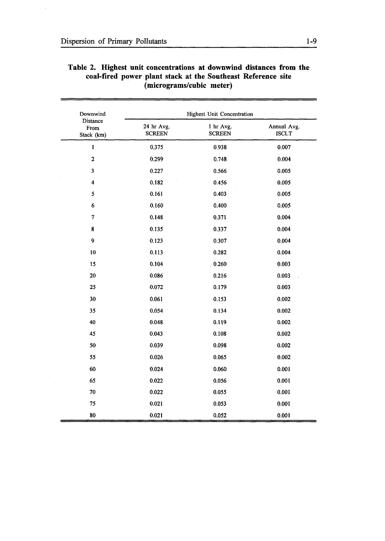| Downwind                       |                             | <b>Highest Unit Concentration</b> |                             |
|--------------------------------|-----------------------------|-----------------------------------|-----------------------------|
| Distance<br>From<br>Stack (km) | 24 hr Avg.<br><b>SCREEN</b> | 1 hr Avg.<br><b>SCREEN</b>        | Annual Avg.<br><b>ISCLT</b> |
| $\mathbf{1}$                   | 0.375                       | 0.938                             | 0.007                       |
| $\mathbf{2}$                   | 0.299                       | 0.748                             | 0.004                       |
| 3                              | 0.227                       | 0.566                             | 0.005                       |
| $\ddot{\bf 4}$                 | 0.182                       | 0.456                             | 0.005                       |
| 5                              | 0.161                       | 0.403                             | 0.005                       |
| $6\phantom{1}6$                | 0.160                       | 0.400                             | 0.005                       |
| $\tau$                         | 0.148                       | 0.371                             | 0.004                       |
| 8                              | 0.135                       | 0.337                             | 0.004                       |
| 9                              | 0.123                       | 0.307                             | 0.004                       |
| 10                             | 0.113                       | 0.282                             | 0.004                       |
| 15                             | 0.104                       | 0.260                             | 0.003                       |
| 20                             | 0.086                       | 0.216                             | 0.003                       |
| 25                             | 0.072                       | 0.179                             | 0.003                       |
| 30                             | 0.061                       | 0.153                             | 0.002                       |
| 35                             | 0.054                       | 0.134                             | 0.002                       |
| 40                             | 0.048                       | 0.119                             | 0.002                       |
| 45                             | 0.043                       | 0.108                             | 0.002                       |
| 50                             | 0.039                       | 0.098                             | 0.002                       |
| 55                             | 0.026                       | 0.065                             | 0.002                       |
| 60                             | 0.024                       | 0.060                             | 0.001                       |
| 65                             | 0.022                       | 0.056                             | 0.001                       |
| 70                             | 0.022                       | 0.055                             | 0.001                       |
| 75                             | 0.021                       | 0.053                             | 0.001                       |
| 80                             | 0.021                       | 0.052                             | 0.001                       |

# Table 2. Highest unit concentrations at downwind distances from the coal-fired power plant stack at the Southeast Reference site (micrograms/cubic meter)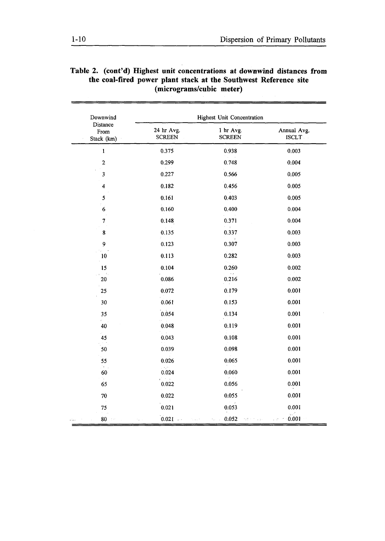| Downwind                       |                             | <b>Highest Unit Concentration</b> |                                           |
|--------------------------------|-----------------------------|-----------------------------------|-------------------------------------------|
| Distance<br>From<br>Stack (km) | 24 hr Avg.<br><b>SCREEN</b> | 1 hr Avg.<br><b>SCREEN</b>        | Annual Avg.<br><b>ISCLT</b>               |
| $\mathbf{1}$                   | 0.375                       | 0.938                             | 0.003                                     |
| $\mathbf 2$                    | 0.299                       | 0.748                             | 0.004                                     |
| 3                              | 0.227                       | 0.566                             | 0.005                                     |
| $\overline{\mathbf{4}}$        | 0.182                       | 0.456                             | 0.005                                     |
| 5                              | 0.161                       | 0.403                             | 0.005                                     |
| $\boldsymbol{6}$               | 0.160                       | 0.400                             | 0.004                                     |
| 7                              | 0.148                       | 0.371                             | 0.004                                     |
| 8                              | 0.135                       | 0.337                             | 0.003                                     |
| 9                              | 0.123                       | 0.307                             | 0.003                                     |
| 10                             | 0.113                       | 0.282                             | 0.003                                     |
| 15                             | 0.104                       | 0.260                             | 0.002                                     |
| 20                             | 0.086                       | 0.216                             | 0.002                                     |
| 25                             | 0.072                       | 0.179                             | 0.001                                     |
| 30                             | 0.061                       | 0.153                             | 0.001                                     |
| 35                             | 0.054                       | 0.134                             | 0.001                                     |
| 40                             | 0.048                       | 0.119                             | 0.001                                     |
| 45                             | 0.043                       | 0.108                             | 0.001                                     |
| 50                             | 0.039                       | 0.098                             | 0.001                                     |
| 55                             | 0.026                       | 0.065                             | 0.001                                     |
| Э.,<br>60                      | $\gamma_{\rm A}$ :<br>0.024 | 0.060                             | 0.001                                     |
| 65                             | 0.022                       | 0.056                             | 0.001                                     |
| 70                             | 0.022                       | 0.055                             | 0.001                                     |
| 75                             | 0.021                       | 0.053                             | 0.001                                     |
| $80\,$<br>film<br>٠.           | $0.021$<br>to a ch          | 0.052<br>retirin dal<br>٠.,       | $\chi_{\rm b}^{-2}$<br>0.001<br>$\sim 27$ |

# Table 2. (cont'd) Highest unit concentrations at downwind distances from the coal-fired power plant stack at the Southwest Reference site (micrograms/cubic meter)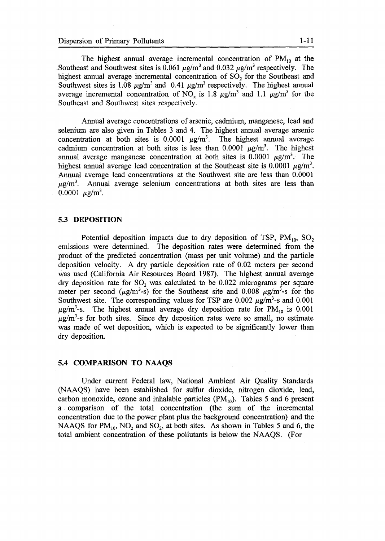The highest annual average incremental concentration of  $PM_{10}$  at the Southeast and Southwest sites is 0.061  $\mu$ g/m<sup>3</sup> and 0.032  $\mu$ g/m<sup>3</sup> respectively. The highest annual average incremental concentration of SO<sub>2</sub> for the Southeast and Southwest sites is 1.08  $\mu$ g/m<sup>3</sup> and 0.41  $\mu$ g/m<sup>3</sup> respectively. The highest annual average incremental concentration of NO<sub>x</sub> is 1.8  $\mu$ g/m<sup>3</sup> and 1.1  $\mu$ g/m<sup>3</sup> for the Southeast and Southwest sites respectively.

Annual average concentrations of arsenic, cadmium, manganese, lead and selenium are also given in Tables 3 and 4. The highest annual average arsenic concentration at both sites is  $0.0001 \mu g/m<sup>3</sup>$ . The highest annual average cadmium concentration at both sites is less than  $0.0001 \mu g/m<sup>3</sup>$ . The highest annual average manganese concentration at both sites is 0.0001  $\mu$ g/m<sup>3</sup>. The highest annual average lead concentration at the Southeast site is 0.0001  $\mu$ g/m<sup>3</sup>. Annual average lead concentrations at the Southwest site are less than 0.0001  $\mu$ g/m<sup>3</sup>. Annual average selenium concentrations at both sites are less than  $0.0001 \mu g/m^3$ .

# **5.3 DEPOSITION**

Potential deposition impacts due to dry deposition of TSP,  $PM_{10}$ , SO<sub>2</sub> emissions were determined. The deposition rates were determined from the product of the predicted concentration (mass per unit volume) and the particle deposition velocity. A dry particle deposition rate of  $0.02$  meters per second was used California Air Resources Board 1987). The highest annual average dry deposition rate for  $SO<sub>2</sub>$  was calculated to be 0.022 micrograms per square meter per second ( $\mu$ g/m<sup>3</sup>-s) for the Southeast site and 0.008  $\mu$ g/m<sup>3</sup>-s for the Southwest site. The corresponding values for TSP are  $0.002 \mu g/m^3$ -s and  $0.001$  $\mu$ g/m<sup>3</sup>-s. The highest annual average dry deposition rate for PM<sub>10</sub> is 0.001  $\mu$ g/m<sup>3</sup>-s for both sites. Since dry deposition rates were so small, no estimate was made of wet deposition, which is expected to be significantly lower than dry deposition.

# **5.4 COMPARISON TO NAAQS**

Under current Federal law, National Ambient Air Quality Standards (NAAQS) have been established for sulfur dioxide, nitrogen dioxide, lead, carbon monoxide, ozone and inhalable particles  $(PM_{10})$ . Tables 5 and 6 present a comparison of the total concentration (the sum of the incremental concentration due to the power plant plus the background concentration) and the NAAQS for  $PM_{10}$ , NO<sub>2</sub> and SO<sub>2</sub>, at both sites. As shown in Tables 5 and 6, the total ambient concentration of these pollutants is below the NAAQS. (For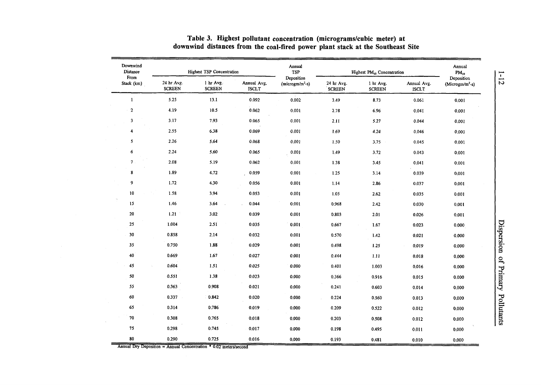| Downwind<br>Distance     |                             | <b>Highest TSP Concentration</b> |                             | Annual<br>$\mathbf{TSP}$         |                             | Highest PM <sub>10</sub> Concentration |                             | Annual<br>$\mathrm{PM}_{10}$     |               |
|--------------------------|-----------------------------|----------------------------------|-----------------------------|----------------------------------|-----------------------------|----------------------------------------|-----------------------------|----------------------------------|---------------|
| From<br>Stack (km)       | 24 hr Avg.<br><b>SCREEN</b> | 1 hr Avg.<br><b>SCREEN</b>       | Annual Avg.<br><b>ISCLT</b> | Deposition<br>$(microgram/m2-s)$ | 24 hr Avg.<br><b>SCREEN</b> | 1 hr Avg.<br><b>SCREEN</b>             | Annual Avg.<br><b>ISCLT</b> | Deposition<br>$(Microgram/m2-s)$ | $\frac{1}{2}$ |
| $\mathbf{1}$             | 5.25                        | 13.1                             | 0.092                       | 0.002                            | 3.49                        | 8.73                                   | 0.061                       | 0.001                            |               |
| $\overline{2}$           | 4.19                        | 10.5                             | 0.062                       | 0.001                            | 2.78                        | 6.96                                   | 0.041                       | 0.001                            |               |
| 3                        | 3.17                        | 7.93                             | 0.065                       | 0.001                            | 2.11                        | 5.27                                   | 0.044                       | 0.001                            |               |
| 4                        | 2.55                        | 6.38                             | 0.069                       | 0.001                            | 1.69                        | 4.24                                   | 0.046                       | 0.001                            |               |
| 5                        | 2.26                        | 5.64                             | 0.068                       | 0.001                            | 1.50                        | 3.75                                   | 0.045                       | 0.001                            |               |
| 6                        | 2.24                        | 5.60                             | 0.065                       | 0.001                            | 1.49                        | 3.72                                   | 0.043                       | 0.001                            |               |
| $\overline{\phantom{a}}$ | 2.08                        | 5.19                             | 0.062                       | 0.001                            | 1.38                        | 3.45                                   | 0.041                       | 0.001                            |               |
| 8                        | 1.89                        | 4.72                             | 0.059                       | 0.001                            | 1.25                        | 3.14                                   | 0.039                       | 0.001                            |               |
| 9                        | 1.72                        | 4.30                             | 0.056                       | 0.001                            | 1.14                        | 2.86                                   | 0.037                       | 0.001                            |               |
| 10                       | 1.58                        | 3.94                             | 0.053                       | 0.001                            | 1.05                        | 2.62                                   | 0.035                       | 0.001                            |               |
| 15                       | 1.46                        | 3.64                             | 0.044                       | 0.001                            | 0.968                       | 2.42                                   | 0.030                       | 0.001                            |               |
| 20                       | 1.21                        | 3.02                             | 0.039                       | 0.001                            | 0.803                       | 2.01                                   | 0.026                       | 0.001                            |               |
| 25                       | 1.004                       | 2.51                             | 0.035                       | 0.001                            | 0.667                       | 1.67                                   | 0.023                       | 0.000                            |               |
| 30                       | 0.858                       | 2.14                             | 0.032                       | 0.001                            | 0.570                       | 1.42                                   | 0.021                       | 0.000                            | more roder    |
| 35                       | 0.750                       | 1.88                             | 0.029                       | 0.001                            | 0.498                       | 1.25                                   | 0.019                       | 0.000                            |               |
| 40                       | 0.669                       | 1.67                             | 0.027                       | 0.001                            | 0.444                       | 1.11                                   | 0.018                       | 0.000                            |               |
| 45                       | 0.604                       | 1.51                             | 0.025                       | 0.000                            | 0.401                       | 1.003                                  | 0.016                       | 0.000                            |               |
| 50                       | 0.551                       | 1.38                             | 0.023                       | 0.000                            | 0.366                       | 0.916                                  | 0.015                       | 0,000                            |               |
| 55                       | 0.363                       | 0.908                            | 0.021                       | 0.000                            | 0.241                       | 0.603                                  | 0.014                       | 0.000                            |               |
| 60                       | 0.337                       | 0.842                            | 0,020                       | 0.000                            | 0.224                       | 0.560                                  | 0.013                       | 0,000                            |               |
| 65                       | 0.314                       | 0.786                            | 0.019                       | 0.000                            | 0.209                       | 0.522                                  | 0.012                       | 0.000                            |               |
| ${\bf 70}$               | 0.308                       | 0.765                            | 0.018                       | 0.000                            | 0.203                       | 0.508                                  | 0.012                       | 0.000                            |               |
| 75                       | 0.298                       | 0.745                            | 0.017                       | 0.000                            | 0.198                       | 0.495                                  | 0.011                       | 0.000                            |               |
| 80                       | 0.290                       | 0.725                            | 0.016                       | 0.000                            | 0.193                       | 0.481                                  | 0.010                       | 0.000                            |               |

# Table 3. Highest pollutant concentration (micrograms/cubic meter) at downwind distances from the coal-fired power plant stack at the Southeast Site

Annual Dry Deposition = Annual Concentration  $*$  0.02 meters/second

 $\sim$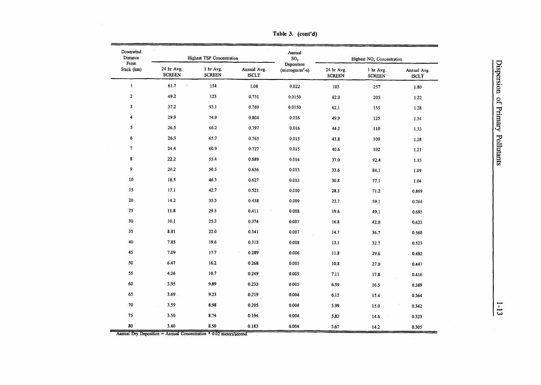| Downwind<br>Distance<br>From |                             | <b>Highest TSP Concentration</b> |                             | Annual<br>SO <sub>2</sub>        |                             | Highest NO <sub>x</sub> Concentration |                             |  |
|------------------------------|-----------------------------|----------------------------------|-----------------------------|----------------------------------|-----------------------------|---------------------------------------|-----------------------------|--|
| Stack (km)                   | 24 hr Avg.<br><b>SCREEN</b> | 1 hr Avg.<br><b>SCREEN</b>       | Annual Avg.<br><b>ISCLT</b> | Deposition<br>$(microgram/m2-s)$ | 24 hr Avg.<br><b>SCREEN</b> | 1 hr Avg.<br><b>SCREEN</b>            | Annual Avg.<br><b>ISCLT</b> |  |
| $\mathbf{I}$                 | 61.7                        | 154                              | 1.08                        | 0.022                            | 103                         | 257                                   | 1.80                        |  |
| $\overline{a}$               | 49.2                        | 123                              | 0.731                       | 0.0150                           | 82.0                        | 205                                   | 1.22                        |  |
| $\mathbf{3}$                 | 37.2                        | 93.1                             | 0.769                       | 0.0150                           | 62.1                        | 155                                   | 1.28                        |  |
| 4                            | 29.9                        | 74.9                             | 0.804                       | 0.016                            | 49.9                        | 125                                   | 1.34                        |  |
| 5                            | 26.5                        | 66.2                             | 0.797                       | 0.016                            | 44.2                        | 110                                   | 1.33                        |  |
| 6                            | 26.3                        | 65.7                             | 0.765                       | 0.015                            | 43.8                        | 109                                   | $1.28\,$                    |  |
| $\overline{\mathcal{L}}$     | 24.4                        | 60.9                             | 0.727                       | 0.015                            | 40.6                        | 102                                   | 1.21                        |  |
| 8                            | 22.2                        | 55.4                             | 0.689                       | 0.014                            | 37.0                        | 92.4                                  | 1.15                        |  |
| 9                            | 20.2                        | 50.5                             | 0.656                       | 0.013                            | 33.6                        | 84.1                                  | 1.09                        |  |
| 10                           | 18.5                        | 46.3                             | 0.627                       | 0.013                            | 30.8                        | 77.1                                  | 1.04                        |  |
| 15                           | 17.1                        | 42.7                             | 0.521                       | 0.010                            | 28.5                        | 71.2                                  | 0.869                       |  |
| 20                           | 14.2                        | 35.5                             | 0.458                       | 0.009                            | 23.7                        | 59.1                                  | 0.764                       |  |
| 25                           | 11.8                        | 29.5                             | 0.411                       | 0.008                            | 19.6                        | 49.1                                  | 0.685                       |  |
| $30\,$                       | 10.1                        | 25.2                             | 0.374                       | 0.007                            | 16.8                        | 42.0                                  | 0.623                       |  |
| 35                           | 8.81                        | 22.0                             | 0.341                       | 0.007                            | 14.7                        | 36.7                                  | 0.568                       |  |
| 40                           | 7.85                        | 19.6                             | 0.313                       | 0.008                            | 13.1                        | 32.7                                  | 0.523                       |  |
| 45                           | 7.09                        | 17.7                             | 0.289                       | 0.006                            | 11.8                        | 29.6                                  | 0.482                       |  |
| ${\bf 50}$                   | 6.47                        | 16.2                             | 0.268                       | 0.005                            | 10.8                        | 27.0                                  | 0.447                       |  |
| 55                           | 4.26                        | 10.7                             | 0.249                       | 0.005                            | 7.11                        | 17.8                                  | 0.416                       |  |
| 60                           | 3.95                        | 9.89                             | 0.233                       | 0.005                            | 6.59                        | 16.5                                  | 0.389                       |  |
| 65                           | $3.69$ .                    | 9.23                             | 0.219                       | 0.004                            | 6.15                        | 15.4                                  | 0.364                       |  |
| $70\,$                       | 3.59                        | 8.98                             | 0.205                       | 0.004                            | 5.99                        | 15.0                                  | 0.342                       |  |
| 75                           | 3.50                        | 8.74                             | 0.194                       | 0.004                            | 5.83                        | 14.6                                  | 0.323                       |  |
| 80                           | 3.40                        | 8.50                             | 0.183                       | 0.004                            | 5.67                        | 14.2                                  | 0.305                       |  |

Table 3. (cont'd)

Annual Dry Deposition  $=$  Annual Concentration  $*$  0.02 meters/second

 $\sim 10$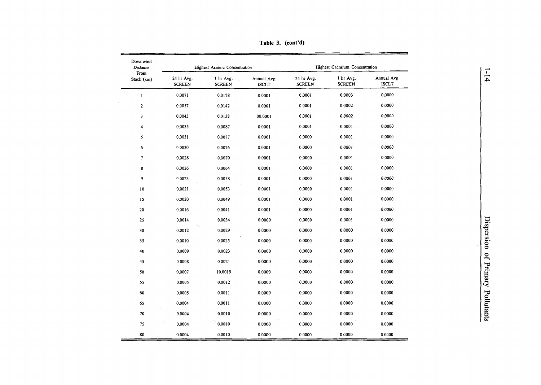| Downwind<br>Distance    |                             | Highest Arsenic Concentration |                             |                             | Highest Cadmium Concentration |                             |
|-------------------------|-----------------------------|-------------------------------|-----------------------------|-----------------------------|-------------------------------|-----------------------------|
| From<br>Stack (km)      | 24 hr Avg.<br><b>SCREEN</b> | 1 hr Avg.<br><b>SCREEN</b>    | Annual Avg.<br><b>ISCLT</b> | 24 hr Avg.<br><b>SCREEN</b> | 1 hr Avg.<br><b>SCREEN</b>    | Annual Avg.<br><b>ISCLT</b> |
| $\mathbf{1}$            | 0.0071                      | 0.0178                        | 0.0001                      | 0.0001                      | 0.0003                        | 0,0000                      |
| $\overline{2}$          | 0.0057                      | 0.0142                        | 0.0001                      | 0.0001                      | 0.0002                        | 0,0000                      |
| 3                       | 0.0043                      | 0.0138                        | 00.0001                     | 0.0001                      | 0.0002                        | 0,0000                      |
| $\overline{\mathbf{4}}$ | 0.0035                      | 0.0087                        | 0.0001                      | 0,0001                      | 0.0001                        | 0.0000                      |
| 5                       | 0.0031                      | 0.0077                        | 0.0001                      | 0.0000                      | 0.0001                        | 0.0000                      |
| 6                       | 0.0030                      | 0.0076                        | 0.0001                      | 0.0000                      | 0.0001                        | 0.0000                      |
| $\tau$                  | 0.0028                      | 0.0070                        | 0.0001                      | 0.0000                      | 0.0001                        | 0,0000                      |
| $\bf 8$                 | 0.0026                      | 0.0064                        | 0.0001                      | 0.0000                      | 0.0001                        | 0.0000                      |
| 9                       | 0.0023                      | 0.0058                        | 0.0001                      | 0.0000                      | 0.0001                        | 0.0000                      |
| 10                      | 0.0021                      | 0.0053                        | 0.0001                      | 0.0000                      | 0.0001                        | 0.0000                      |
| 15                      | 0.0020                      | 0.0049                        | 0.0001                      | 0.0000                      | 0.0001                        | 0.0000                      |
| 20                      | 0.0016                      | 0.0041                        | 0.0001                      | 0.0000                      | 0.0001                        | 0.0000                      |
| 25                      | 0.0014                      | 0.0034                        | 0.0000                      | 0.0000                      | 0.0001                        | 0.0000                      |
| 30                      | 0.0012                      | 0.0029                        | 0.0000                      | 0.0000                      | 0.0000                        | 0.0000                      |
| 35                      | 0.0010                      | 0.0025                        | 0.0000                      | 0.0000                      | 0.0000                        | 0.0000                      |
| 40                      | 0.0009                      | 0.0023                        | 0.0000                      | 0.0000                      | 0,0000                        | 0.0000                      |
| 45                      | 0.0008                      | 0.0021                        | 0.0000                      | 0.0000                      | 0.0000                        | 0.0000                      |
| 50                      | 0.0007                      | 10.0019                       | 0.0000                      | 0.0000                      | 0.0000                        | 0.0000                      |
| 55                      | 0.0005                      | 0.0012                        | 0.0000                      | 0.0000                      | 0.0000                        | 0.0000                      |
| 60                      | 0.0005                      | 0.0011                        | 0.0000                      | 0.0000                      | 0.0000                        | 0.0000                      |
| 65                      | 0.0004                      | 0.0011                        | 0.0000                      | 0.0000                      | 0.0000                        | 0.0000                      |
| 70                      | 0.0004                      | 0.0010                        | 0.0000                      | 0.0000                      | 0.0000                        | 0.0000                      |
| 75                      | 0.0004                      | 0.0010                        | 0.0000                      | 0.0000                      | 0.0000                        | 0.0000                      |
| 80                      | 0.0004                      | 0.0010                        | 0.0000                      | 0.0000                      | 0.0000                        | 0.0000                      |

Table 3. (cont'd)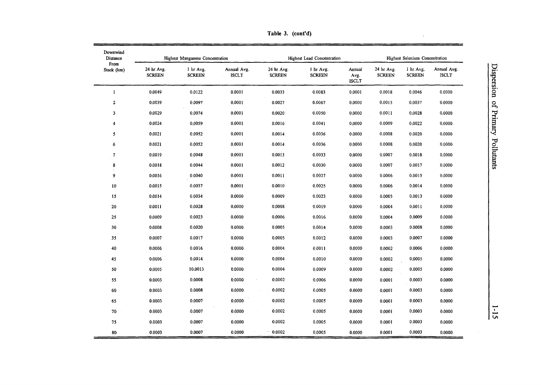| Downwind<br>Distance    |                             | <b>Highest Manganese Concentration</b> | Highest Lead Concentration  |                             |                            |                                | Highest Selenium Concentration |                            |                             |  |  |
|-------------------------|-----------------------------|----------------------------------------|-----------------------------|-----------------------------|----------------------------|--------------------------------|--------------------------------|----------------------------|-----------------------------|--|--|
| From<br>Stack (km)      | 24 hr Avg.<br><b>SCREEN</b> | 1 hr Avg.<br><b>SCREEN</b>             | Annual Avg.<br><b>ISCLT</b> | 24 hr Avg.<br><b>SCREEN</b> | 1 hr Avg.<br><b>SCREEN</b> | Annual<br>Avg.<br><b>ISCLT</b> | 24 hr Avg.<br><b>SCREEN</b>    | 1 hr Avg.<br><b>SCREEN</b> | Annual Avg.<br><b>ISCLT</b> |  |  |
| $\mathbf{1}$            | 0.0049                      | 0.0122                                 | 0.0001                      | 0.0033                      | 0.0083                     | 0.0001                         | 0.0018                         | 0.0046                     | 0.0000                      |  |  |
| $\mathbf{2}$            | 0.0039                      | 0.0097                                 | 0.0001                      | 0.0027                      | 0.0067                     | 0.0000                         | 0.0015                         | 0.0037                     | 0.0000                      |  |  |
| $\overline{\mathbf{3}}$ | 0.0029                      | 0.0074                                 | 0.0001                      | 0.0020                      | 0.0050                     | 0.0000                         | 0.0011                         | 0.0028                     | 0.0000                      |  |  |
| 4                       | 0.0024                      | 0.0059                                 | 0.0001                      | 0.0016                      | 0.0041                     | 0.0000                         | 0,0009                         | 0.0022                     | 0.0000                      |  |  |
| 5                       | 0,0021                      | 0.0052                                 | 0.0001                      | 0.0014                      | 0.0036                     | 0.0000                         | 0.0008                         | 0.0020                     | 0.0000                      |  |  |
| 6                       | 0.0021                      | 0.0052                                 | 0.0001                      | 0.0014                      | 0.0036                     | 0.0000                         | 0.0008                         | 0.0020                     | 0.0000                      |  |  |
| $\boldsymbol{7}$        | 0.0019                      | 0.0048                                 | 0.0001                      | 0.0013                      | 0.0033                     | 0.0000                         | 0.0007                         | 0.0018                     | 0.0000                      |  |  |
| 8                       | 0.0018                      | 0.0044                                 | 0.0001                      | 0.0012                      | 0.0030                     | 0.0000                         | 0.0007                         | 0.0017                     | 0.0000                      |  |  |
| 9                       | 0.0016                      | 0.0040                                 | 0.0001                      | 0.0011                      | 0.0027                     | 0.0000                         | 0.0006                         | 0.0015                     | 0.0000                      |  |  |
| $10\,$                  | 0.0015                      | 0.0037                                 | 0.0001                      | 0.0010                      | 0.0025                     | 0.0000                         | 0.0006                         | 0.0014                     | 0.0000                      |  |  |
| 15                      | 0.0014                      | 0.0034                                 | 0.0000                      | 0.0009                      | 0.0023                     | 0.0000                         | 0.0005                         | 0.0013                     | 0.0000                      |  |  |
| 20                      | 0.0011                      | 0.0028                                 | 0.0000                      | 0.0008                      | 0.0019                     | 0.0000                         | 0.0004                         | 0.0011                     | 0.0000                      |  |  |
| ${\bf 25}$              | 0.0009                      | 0.0023                                 | 0.0000                      | 0.0006                      | 0.0016                     | 0.0000                         | 0.0004                         | 0.0009                     | 0.0000                      |  |  |
| 30                      | 0.0008                      | 0.0020                                 | 0.0000                      | 0.0005                      | 0,0014                     | 0.0000                         | 0.0003                         | 0.0008                     | 0.0000                      |  |  |
| 35                      | 0.0007                      | 0.0017                                 | 0.0000                      | 0.0005                      | 0.0012                     | 0.0000                         | 0.0003                         | 0.0007                     | 0.0000                      |  |  |
| 40                      | 0.0006                      | 0.0016                                 | 0.0000                      | 0.0004                      | 0.0011                     | 0.0000                         | 0.0002                         | 0.0006                     | 0.0000                      |  |  |
| 45                      | 0.0006                      | 0.0014                                 | 0.0000                      | 0.0004                      | 0.0010                     | 0.0000                         | 0.0002                         | 0.0005                     | 0.0000                      |  |  |
| 50                      | 0.0005                      | 10.0013                                | 0.0000                      | 0.0004                      | 0.0009                     | 0.0000                         | 0.0002                         | 0.0005                     | 0.0000                      |  |  |
| 55                      | 0.0003                      | 0.0008                                 | 0.0000                      | 0.0002                      | 0.0006                     | 0.0000                         | 0.0001                         | 0.0003                     | 0.0000                      |  |  |
| 60                      | 0.0003                      | 0.0008                                 | 0.0000                      | 0.0002                      | 0.0005                     | 0.0000                         | 0.0001                         | 0.0003                     | 0.0000                      |  |  |
| 65                      | 0.0003                      | 0.0007                                 | 0,0000                      | 0.0002                      | 0.0005                     | 0.0000                         | 0.0001                         | 0.0003                     | 0.0000                      |  |  |
| 70                      | 0.0003                      | 0.0007                                 | 0.0000                      | 0.0002                      | 0.0005                     | 0,0000                         | 0.0001                         | 0.0003                     | 0.0000                      |  |  |
| 75                      | 0.0003                      | 0.0007                                 | 0.0000                      | 0.0002                      | 0.0005                     | 0,0000                         | 0.0001                         | 0.0003                     | 0.0000                      |  |  |
| 80                      | 0.0003                      | 0.0007                                 | 0.0000                      | 0.0002                      | 0.0005                     | 0.0000                         | 0.0001                         | 0.0003                     | 0.0000                      |  |  |

Table 3. (cont'd)

 $\mathcal{A}^{\mathcal{A}}$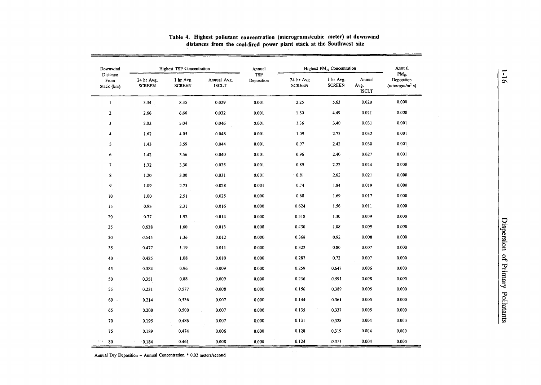| Downwind                       |                             | Highest TSP Concentration  |                             | Annual            |                                      | Highest PM <sub>10</sub> Concentration |                                | Annual                                        |
|--------------------------------|-----------------------------|----------------------------|-----------------------------|-------------------|--------------------------------------|----------------------------------------|--------------------------------|-----------------------------------------------|
| Distance<br>From<br>Stack (km) | 24 hr Avg.<br><b>SCREEN</b> | 1 hr Avg.<br><b>SCREEN</b> | Annual Avg.<br><b>ISCLT</b> | TSP<br>Deposition | 24 hr Avg<br><b>SCREEN</b><br>$\sim$ | 1 hr Avg.<br><b>SCREEN</b>             | Annual<br>Avg.<br><b>ISCLT</b> | $PM_{10}$<br>Deposition<br>$(microgram/m2-s)$ |
| $\mathbf{1}$                   | 3.34                        | 8.35                       | 0.029                       | 0.001             | 2.25                                 | 5.63                                   | 0.020                          | 0.000                                         |
| $\overline{2}$                 | 2.66                        | 6.66                       | 0.032                       | 0.001             | 1.80                                 | 4.49                                   | 0.021                          | 0.000                                         |
| 3                              | 2.02                        | 5.04                       | 0.046                       | 0.001             | 1.36                                 | 3.40                                   | 0.031                          | 0.001                                         |
| 4                              | 1.62                        | 4.05                       | 0.048                       | 0.001             | 1.09                                 | 2.73                                   | 0.032                          | 0.001                                         |
| 5                              | 1.43                        | 3.59                       | 0.044                       | 0.001             | 0.97                                 | 2.42                                   | 0.030                          | 0.001                                         |
| 6                              | 1.42                        | 3.56                       | 0.040                       | 0.001             | 0.96                                 | 2.40                                   | 0.027                          | 0.001                                         |
| $\overline{7}$                 | 1.32                        | 3.30                       | 0.035                       | 0.001             | 0.89                                 | 2.22                                   | 0.024                          | 0.000                                         |
| 8                              | 1.20                        | 3.00                       | 0.031                       | 0.001             | 0.81                                 | 2.02                                   | 0.021                          | 0.000                                         |
| 9                              | 1.09                        | 2.73                       | 0.028                       | 0.001             | 0.74                                 | 1.84                                   | 0.019                          | 0.000                                         |
| 10                             | 1.00                        | 2.51                       | 0.025                       | 0.000             | 0.68                                 | 1.69                                   | 0.017                          | 0.000                                         |
| 15                             | 0.93                        | 2.31                       | 0.016                       | 0.000             | 0.624                                | 1.56                                   | 0.011                          | 0.000                                         |
| 20                             | 0.77                        | 1.92                       | 0.014                       | 0.000             | 0.518                                | 1.30                                   | 0.009                          | 0.000                                         |
| 25                             | 0.638                       | 1.60                       | 0.013                       | 0.000             | 0.430                                | 1.08                                   | 0.009                          | 0.000                                         |
| 30                             | 0.545                       | 1.36                       | 0.012                       | 0.000             | 0.368                                | 0.92                                   | 0.008                          | 0.000                                         |
| 35                             | 0.477                       | 1.19                       | 0.011                       | 0.000             | 0.322                                | 0.80                                   | 0.007                          | 0.000                                         |
| 40                             | 0.425                       | 1.08                       | 0.010                       | 0.000             | 0.287                                | 0.72                                   | 0.007                          | 0.000                                         |
| 45                             | 0.384                       | 0.96                       | 0.009                       | 0.000             | 0.259                                | 0.647                                  | 0.006                          | 0.000                                         |
| 50                             | 0.351                       | 0.88                       | 0.009                       | 0.000             | 0.236                                | 0.591                                  | 0.008                          | 0.000                                         |
| 55                             | 0.231                       | 0.577                      | 0.008                       | 0.000             | 0.156                                | 0.389                                  | 0.005                          | 0.000                                         |
| $60 -$                         | 0.214                       | 0.536                      | 0.007                       | 0.000             | 0.144                                | 0.361                                  | 0.005                          | 0.000                                         |
| 65                             | 0.200                       | 0.500                      | 0.007                       | 0.000             | 0.135                                | 0.337                                  | 0.005                          | 0.000                                         |
| 70                             | 0.195                       | 0.486                      | 0.007                       | 0.000             | 0.131                                | 0.328                                  | 0.004                          | 0.000                                         |
| 75                             | 0.189                       | 0.474                      | 0.006                       | 0,000             | 0.128                                | 0.319                                  | 0.004                          | 0.000                                         |
| sita i<br>80                   | 0.184                       | 0.461                      | 0.008                       | 0.000             | 0.124                                | 0.311                                  | 0.004                          | 0.000                                         |

#### Table 4. Highest pollutant concentration (micrograms/cubic meter) at downwind distances from the coal-fired power plant stack at the Southwest site

Annual Dry Deposition = Annual Concentration  $*$  0.02 meters/second

 $\blacksquare$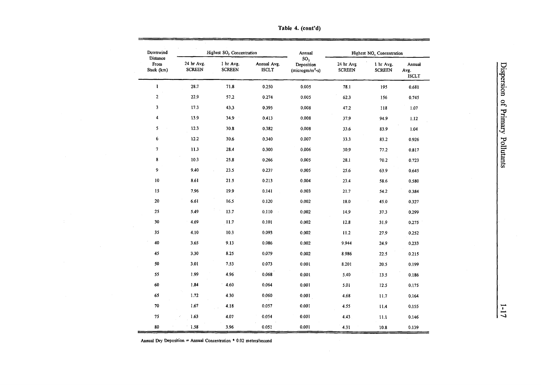| Downwind                       |                             | Highest SO <sub>2</sub> Concentration |                             | Annual                                              |                            | Highest NO <sub>x</sub> Concentration |                                |
|--------------------------------|-----------------------------|---------------------------------------|-----------------------------|-----------------------------------------------------|----------------------------|---------------------------------------|--------------------------------|
| Distance<br>From<br>Stack (km) | 24 hr Avg.<br><b>SCREEN</b> | 1 hr Avg.<br><b>SCREEN</b>            | Annual Avg.<br><b>ISCLT</b> | SO <sub>2</sub><br>Deposition<br>$(microgram/m2-s)$ | 24 hr Avg<br><b>SCREEN</b> | 1 hr Avg.<br><b>SCREEN</b>            | Annual<br>Avg.<br><b>ISCLT</b> |
| $\mathbf{1}$                   | 28.7                        | 71.8                                  | 0.250                       | 0.005                                               | 78.1                       | 195                                   | 0.681                          |
| 2                              | 22.9                        | 57.2                                  | 0.274                       | 0.005                                               | 62.3                       | 156                                   | 0.745                          |
| 3                              | 17.3                        | 43.3                                  | 0.395                       | 0.008                                               | 47.2                       | 118                                   | 1.07                           |
| 4                              | 13.9                        | 34.9                                  | 0.413                       | 0.008                                               | 37.9                       | 94.9                                  | 1.12                           |
| 5                              | 12.3                        | 30.8                                  | 0.382                       | 0.008                                               | 33.6                       | 83.9                                  | 1.04                           |
| 6                              | 12.2                        | 30.6                                  | 0.340                       | 0.007                                               | 33.3                       | 83.2                                  | 0.926                          |
| 7                              | 11.3                        | 28.4                                  | 0.300                       | 0.006                                               | 30.9                       | 77.2                                  | 0.817                          |
| 8                              | 10.3                        | 25.8                                  | 0.266                       | 0.005                                               | 28.1                       | 70.2                                  | 0.723                          |
| 9                              | 9.40                        | 23.5                                  | 0.237                       | 0.005                                               | 25.6                       | 63.9                                  | 0.645                          |
| 10                             | 8.61                        | 21.5                                  | 0.213                       | 0.004                                               | 23.4                       | 58,6                                  | 0.580                          |
| 15                             | 7.96                        | 19.9                                  | 0.141                       | 0.003                                               | 21.7                       | 54.2                                  | 0.384                          |
| 20                             | 6.61                        | 16.5                                  | 0.120                       | 0.002                                               | 18.0                       | 45.0                                  | 0.327                          |
| 25                             | 5.49                        | 13.7                                  | 0.110                       | 0.002                                               | 14.9                       | 37.3                                  | 0.299                          |
| 30                             | 4.69                        | 11.7                                  | 0.101                       | 0.002                                               | 12.8                       | 31.9                                  | 0.275                          |
| 35                             | 4.10                        | 10.3                                  | 0.093                       | 0.002                                               | 11.2                       | 27.9                                  | 0.252                          |
| 40                             | 3.65                        | 9.13                                  | 0.086                       | 0.002                                               | 9.944                      | 24.9                                  | 0.233                          |
| 45                             | 3.30                        | 8.25                                  | 0.079                       | 0.002                                               | 8.986                      | 22.5                                  | 0.215                          |
| 50                             | 3.01                        | 7.53                                  | 0.073                       | 0.001                                               | 8.201                      | 20.5                                  | 0.199                          |
| 55                             | 1.99                        | 4.96                                  | 0.068                       | 0.001                                               | 5.40                       | 13.5                                  | 0.186                          |
| 60                             | 1.84                        | 4.60                                  | 0.064                       | 0.001                                               | 5.01                       | 12.5                                  | 0.175                          |
| 65                             | 1.72                        | 4.30                                  | 0.060                       | 0.001                                               | 4.68                       | 11.7                                  | 0.164                          |
| 70                             | 1.67                        | 4.18                                  | 0.057                       | 0.001                                               | 4.55                       | 11.4                                  | 0.155                          |
| 75                             | 1.63                        | 4.07                                  | 0.054                       | 0.001                                               | 4.43                       | 11.1                                  | 0.146                          |
| 80                             | 1.58                        | 3.96                                  | 0.051                       | 0.001                                               | 4.31                       | 10.8                                  | 0.139                          |

 $\mathcal{A}^{\pm}$ 

Table 4. (cont'd)

Annual Dry Deposition = Annual Concentration  $*$  0.02 meters/second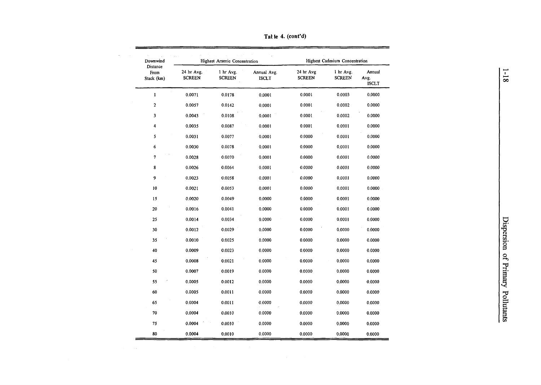| Downwind<br>Distance |                             | Highest Arsenic Concentration |                      |                                          | Highest Cadmium Concentration |                                |
|----------------------|-----------------------------|-------------------------------|----------------------|------------------------------------------|-------------------------------|--------------------------------|
| From<br>Stack (km)   | 24 hr Avg.<br><b>SCREEN</b> | 1 hr Avg.<br><b>SCREEN</b>    | Annual Avg.<br>ISCLT | 24 hr Avg<br><b>SCREEN</b><br>$\epsilon$ | 1 hr Avg.<br><b>SCREEN</b>    | Annual<br>Avg.<br><b>ISCLT</b> |
| $\mathbf{I}$         | 0.0071                      | 0.0178                        | 0.0001               | 0.0001                                   | 0.0003                        | 0.0000                         |
| $\overline{c}$       | 0.0057                      | 0.0142                        | 0.0001               | 0.0001                                   | 0.0002                        | 0.0000                         |
| 3                    | 0.0043                      | 0.0108                        | 0.0001               | 0.0001                                   | 0.0002                        | 0.0000                         |
| 4                    | 0.0035                      | 0.0087                        | 0.0001               | 0.0001                                   | 0.0001                        | 0.0000                         |
| 5                    | 0.0031                      | 0.0077                        | 0.0001               | 0.0000                                   | 0.0001                        | 0.0000                         |
| 6                    | 0.0030                      | 0.0078                        | 0.0001               | 0.0000                                   | 0.0001                        | 0.0000                         |
| $\tau$               | 0.0028                      | 0.0070                        | 0.0001               | 0.0000                                   | 0.0001                        | 0.0000                         |
| 8                    | 0.0026                      | 0.0064                        | 0.0001               | 0.0000                                   | 0.0001                        | 0.0000                         |
| 9                    | 0.0023                      | 0.0058                        | 0.0001               | 0.0000                                   | 0.0001                        | 0.0000                         |
| 10                   | 0.0021                      | 0.0053                        | 0.0001               | 0.0000                                   | 0.0001                        | 0.0000                         |
| 15                   | 0.0020                      | 0.0049                        | 0.0000               | 0.0000                                   | 0.0001                        | 0.0000                         |
| 20                   | 0.0016                      | 0.0041                        | 0.0000               | 0.0000                                   | 0.0001                        | 0.0000                         |
| 25                   | 0.0014                      | 0.0034                        | 0.0000               | 0.0000                                   | 0.0001                        | 0.0000                         |
| 30                   | 0.0012                      | 0.0029                        | 0.0000               | 0.0000                                   | 0.0000                        | 0.0000                         |
| 35                   | 0.0010                      | 0.0025                        | 0.0000               | 0.0000                                   | 0.0000                        | 0.0000                         |
| 40                   | 0.0009                      | 0.0023                        | 0.0000               | 0.0000                                   | 0.0000                        | 0.0000                         |
| 45                   | 0.0008                      | 0.0021                        | 0.0000               | 0.0000                                   | 0.0000                        | 0.0000                         |
| 50                   | 0.0007                      | 0.0019                        | 0.0000               | 0.0000                                   | 0.0000                        | 0.0000                         |
| 55                   | 0.0005                      | 0.0012                        | 0.0000               | 0.0000                                   | 0.0000                        | 0.0000                         |
| 60                   | 0.0005                      | 0.0011                        | 0.0000               | 0.0000                                   | 0.0000                        | 0.0000                         |
| 65                   | 0.0004                      | 0.0011                        | 0.0000               | 0.0000                                   | 0.0000                        | 0.0000                         |
| 70                   | 0.0004                      | 0.0010                        | 0.0000               | 0.0000                                   | 0.0000                        | 0.0000                         |
| 75                   | 0.0004                      | 0.0010                        | 0.0000               | 0.0000                                   | 0.0000                        | 0.0000                         |
| 80                   | 0.0004                      | 0.0010                        | 0.0000               | 0.0000                                   | 0.0000                        | 0.0000                         |

Tat le 4. (cont'd)

 $\cdot$ 

 $\mathcal{A}^{\text{max}}_{\text{max}}$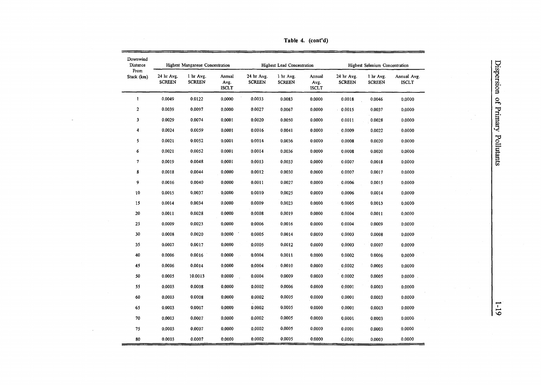| Downwind<br>Distance |                             | Highest Manganese Concentration |                                |                             | <b>Highest Lead Concentration</b> |                                |                             | <b>Highest Selenium Concentration</b> |                             |  |
|----------------------|-----------------------------|---------------------------------|--------------------------------|-----------------------------|-----------------------------------|--------------------------------|-----------------------------|---------------------------------------|-----------------------------|--|
| From<br>Stack (km)   | 24 hr Avg.<br><b>SCREEN</b> | 1 hr Avg.<br><b>SCREEN</b>      | Annual<br>Avg.<br><b>ISCLT</b> | 24 hr Avg.<br><b>SCREEN</b> | 1 hr Avg.<br><b>SCREEN</b>        | Annual<br>Avg.<br><b>ISCLT</b> | 24 hr Avg.<br><b>SCREEN</b> | 1 hr Avg.<br><b>SCREEN</b>            | Annual Avg.<br><b>ISCLT</b> |  |
| $\mathbf{1}$         | 0.0049                      | 0.0122                          | 0.0000                         | 0.0033                      | 0.0083                            | 0.0000                         | 0.0018                      | 0.0046                                | 0.0000                      |  |
| $\overline{a}$       | 0.0039                      | 0.0097                          | 0.0000                         | 0.0027                      | 0.0067                            | 0.0000                         | 0.0015                      | 0.0037                                | 0.0000                      |  |
| 3                    | 0.0029                      | 0.0074                          | 0.0001                         | 0.0020                      | 0.0050                            | 0.0000                         | 0.0011                      | 0.0028                                | 0.0000                      |  |
| 4                    | 0.0024                      | 0.0059                          | 0.0001                         | 0.0016                      | 0.0041                            | 0.0000                         | 0.0009                      | 0.0022                                | 0.0000                      |  |
| 5                    | 0.0021                      | 0.0052                          | 0.0001                         | 0.0014                      | 0.0036                            | 0.0000                         | 0.0008                      | 0.0020                                | 0.0000                      |  |
| 6                    | 0.0021                      | 0.0052                          | 0.0001                         | 0.0014                      | 0.0036                            | 0.0000                         | 0.0008                      | 0.0020                                | 0.0000                      |  |
| $\pmb{7}$            | 0.0019                      | 0.0048                          | 0.0001                         | 0.0013                      | 0.0033                            | 0.0000                         | 0.0007                      | 0.0018                                | 0.0000                      |  |
| 8                    | 0.0018                      | 0.0044                          | 0.0000                         | 0.0012                      | 0.0030                            | 0.0000                         | 0.0007                      | 0.0017                                | 0.0000                      |  |
| 9                    | 0.0016                      | 0.0040                          | 0.0000                         | 0.0011                      | 0.0027                            | 0.0000                         | 0.0006                      | 0.0015                                | 0.0000                      |  |
| ${\bf 10}$           | 0.0015                      | 0.0037                          | 0.0000                         | 0.0010                      | 0.0025                            | 0.0000                         | 0.0006                      | 0.0014                                | 0.0000                      |  |
| 15                   | 0.0014                      | 0.0034                          | 0.0000                         | 0.0009                      | 0.0023                            | 0.0000                         | 0.0005                      | 0.0013                                | 0.0000                      |  |
| 20                   | 0.0011                      | 0.0028                          | 0.0000                         | 0.0008                      | 0.0019                            | 0.0000                         | 0.0004                      | 0.0011                                | 0.0000                      |  |
| 25                   | 0.0009                      | 0.0023                          | 0.0000                         | 0.0006                      | 0.0016                            | 0.0000                         | 0.0004                      | 0.0009                                | 0.0000                      |  |
| 30                   | 0.0008                      | 0.0020                          | 0.0000                         | 0.0005                      | 0.0014                            | 0.0000                         | 0.0003                      | 0.0008                                | 0.0000                      |  |
| 35                   | 0.0007                      | 0.0017                          | 0.0000                         | 0.0005                      | 0.0012                            | 0.0000                         | 0.0003                      | 0.0007                                | 0.0000                      |  |
| 40                   | 0.0006                      | 0.0016                          | 0.0000                         | 0.0004                      | 0.0011                            | 0.0000                         | 0.0002                      | 0.0006                                | 0.0000                      |  |
| 45                   | 0.0006                      | 0.0014                          | 0.0000                         | 0.0004                      | 0.0010                            | 0.0000                         | 0.0002                      | 0.0005                                | 0.0000                      |  |
| ${\bf 50}$           | 0.0005                      | 10.0013                         | 0,0000                         | 0.0004                      | 0.0009                            | 0.0000                         | 0.0002                      | 0.0005                                | 0.0000                      |  |
| 55                   | 0.0003                      | 0.0008                          | 0.0000                         | 0,0002                      | 0.0006                            | 0.0000                         | 0.0001                      | 0.0003                                | 0.0000                      |  |
| 60                   | 0.0003                      | 0.0008                          | 0.0000                         | 0.0002                      | 0.0005                            | 0.0000                         | 0.0001                      | 0.0003                                | 0.0000                      |  |
| 65                   | 0.0003                      | 0.0007                          | 0.0000                         | 0.0002                      | 0.0005                            | 0.0000                         | 0.0001                      | 0.0003                                | 0.0000                      |  |
| ${\bf 70}$           | 0.0003                      | 0.0007                          | 0.0000                         | 0.0002                      | 0.0005                            | 0.0000                         | 0.0001                      | 0.0003                                | 0.0000                      |  |
| 75                   | 0.0003                      | 0.0007                          | 0.0000                         | 0.0002                      | 0.0005                            | 0.0000                         | 0.0001                      | 0.0003                                | 0.0000                      |  |
| 80                   | 0.0003                      | 0.0007                          | 0.0000                         | 0.0002                      | 0.0005                            | 0.0000                         | 0.0001                      | 0.0003                                | 0.0000                      |  |

Table 4. (cont'd)

 $\frac{1}{10}$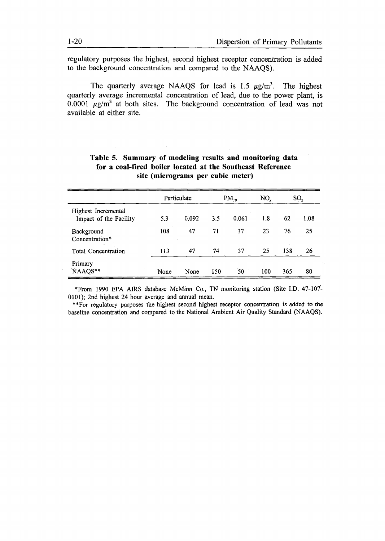regulatory purposes the highest, second highest receptor concentration is added to the background concentration and compared to the NAAQS).

The quarterly average NAAQS for lead is 1.5  $\mu$ g/m<sup>3</sup>. The highest quarterly average incremental concentration of lead, due to the power plant, is 0.0001  $\mu$ g/m<sup>3</sup> at both sites. The background concentration of lead was not available at either site.

|                                               | Particulate |       | $PM_{10}$ |       | NO <sub>r</sub> | SO <sub>2</sub> |      |
|-----------------------------------------------|-------------|-------|-----------|-------|-----------------|-----------------|------|
| Highest Incremental<br>Impact of the Facility | 5.3         | 0.092 | 3.5       | 0.061 | 1.8             | 62              | 1.08 |
| Background<br>Concentration*                  | 108         | 47    | 71        | 37    | 23              | 76              | 25   |
| <b>Total Concentration</b>                    | 113         | 47    | 74        | 37    | 25              | 138             | 26   |
| Primary<br>NAAQS**                            | None        | None  | 150       | 50    | 100             | 365             | 80   |

# **Table 5. Summary of modeling results and monitoring data for a coal-fired boiler located** at **the Southeast Reference site (micrograms per cubic meter)**

\*From 1990 EPA AIRS database McMinn Co., TN monitoring station (Site I.D. 47-107- 0101); 2nd highest 24 hour average and annual mean.

\*\*For regulatory purposes the highest second highest receptor concentration is added to the baseline concentration and compared to the National Ambient Air Quality Standard (NAAQS).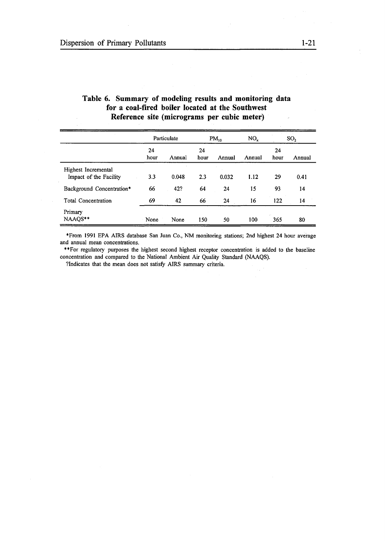|                                               | Particulate |        | $PM_{10}$  |        | $NO_x$ | SO <sub>2</sub> |        |
|-----------------------------------------------|-------------|--------|------------|--------|--------|-----------------|--------|
|                                               | 24<br>hour  | Annual | 24<br>hour | Annual | Annual | 24<br>hour      | Annual |
| Highest Incremental<br>Impact of the Facility | 3.3         | 0.048  | 2.3        | 0.032  | 1.12   | 29              | 0.41   |
| Background Concentration*                     | 66          | 42?    | 64         | 24     | 15     | 93              | 14     |
| <b>Total Concentration</b>                    | 69          | 42     | 66         | 24     | 16     | 122             | 14     |
| Primary<br>NAAQS**                            | None        | None   | 150        | 50     | 100    | 365             | 80     |

# Table 6. Summary of modeling results and monitoring data for a coal-fired boiler located at the Southwest Reference site (micrograms per cubic meter)

\*From 1991 EPA AIRS database San Juan Co., NM monitoring stations; 2nd highest 24 hour average and annual mean concentrations.

"For regulatory purposes the highest second highest receptor concentration is added to the baseline concentration and compared to the National Ambient Air Quality Standard (NAAQS).

?Indicates that the mean does not satisfy AIRS summary criteria.